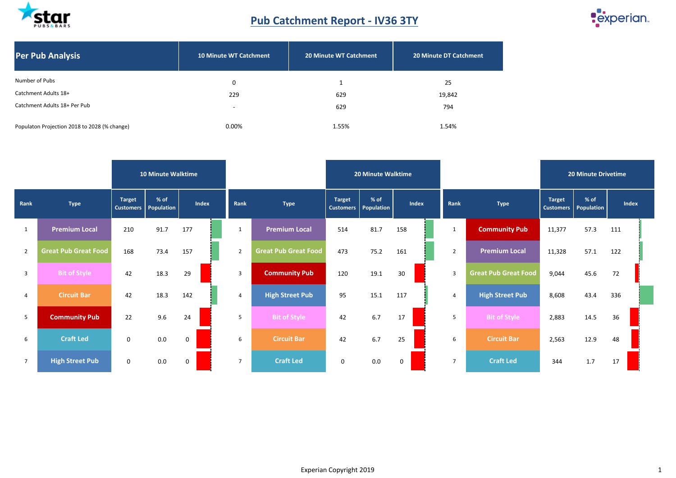

### **Pub Catchment Report - IV36 3TY**



| <b>Per Pub Analysis</b>                      | <b>10 Minute WT Catchment</b> | <b>20 Minute WT Catchment</b> | <b>20 Minute DT Catchment</b> |
|----------------------------------------------|-------------------------------|-------------------------------|-------------------------------|
| Number of Pubs                               | 0                             |                               | 25                            |
| Catchment Adults 18+                         | 229                           | 629                           | 19,842                        |
| Catchment Adults 18+ Per Pub                 | $\overline{\phantom{0}}$      | 629                           | 794                           |
| Populaton Projection 2018 to 2028 (% change) | 0.00%                         | 1.55%                         | 1.54%                         |

|                 |                             |                                   | <b>10 Minute Walktime</b> |             |                |                                           |             | <b>20 Minute Walktime</b> |     |       |                |                             | <b>20 Minute Drivetime</b>              |      |       |  |  |
|-----------------|-----------------------------|-----------------------------------|---------------------------|-------------|----------------|-------------------------------------------|-------------|---------------------------|-----|-------|----------------|-----------------------------|-----------------------------------------|------|-------|--|--|
| Rank            | <b>Type</b>                 | <b>Target</b><br><b>Customers</b> | % of<br>Population        | Index       | Rank           | <b>Target</b><br><b>Type</b><br>Customers |             | % of<br>Population        |     | Index |                | <b>Type</b>                 | <b>Target</b><br>Customers   Population | % of | Index |  |  |
| 1               | <b>Premium Local</b>        | 210                               | 91.7                      | 177         | 1              | <b>Premium Local</b>                      | 514         | 81.7                      | 158 |       | 1              | <b>Community Pub</b>        | 11,377                                  | 57.3 | 111   |  |  |
| $\overline{2}$  | <b>Great Pub Great Food</b> | 168                               | 73.4                      | 157         | $\overline{2}$ | <b>Great Pub Great Food</b>               | 473         | 75.2                      | 161 |       | $\overline{2}$ | <b>Premium Local</b>        | 11,328                                  | 57.1 | 122   |  |  |
| $\overline{3}$  | <b>Bit of Style</b>         | 42                                | 18.3                      | 29          | $\overline{3}$ | <b>Community Pub</b>                      | 120         | 19.1                      | 30  |       | $\overline{3}$ | <b>Great Pub Great Food</b> | 9,044                                   | 45.6 | 72    |  |  |
| $\overline{4}$  | <b>Circuit Bar</b>          | 42                                | 18.3                      | 142         | 4              | <b>High Street Pub</b>                    | 95          | 15.1                      | 117 |       | $\overline{4}$ | <b>High Street Pub</b>      | 8,608                                   | 43.4 | 336   |  |  |
| 5               | <b>Community Pub</b>        | 22                                | 9.6                       | 24          | 5              | <b>Bit of Style</b>                       | 42          | 6.7                       | 17  |       | 5              | <b>Bit of Style</b>         | 2,883                                   | 14.5 | 36    |  |  |
| 6               | <b>Craft Led</b>            | $\mathbf{0}$                      | 0.0                       | $\mathbf 0$ | 6              | <b>Circuit Bar</b>                        | 42          | 6.7                       | 25  |       | 6              | <b>Circuit Bar</b>          | 2,563                                   | 12.9 | 48    |  |  |
| $7\overline{ }$ | <b>High Street Pub</b>      | $\mathbf 0$                       | 0.0                       | 0           | $\overline{7}$ | <b>Craft Led</b>                          | $\mathbf 0$ | 0.0                       | 0   |       | $\overline{7}$ | <b>Craft Led</b>            | 344                                     | 1.7  | 17    |  |  |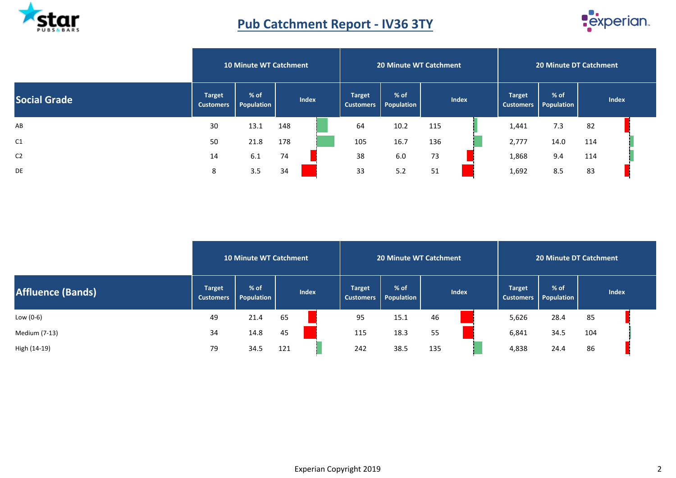

## **Pub Catchment Report - IV36 3TY**



|                     |                                   | <b>10 Minute WT Catchment</b> |              |  | <b>20 Minute WT Catchment</b>     |                    |     | <b>20 Minute DT Catchment</b> |                                   |                      |     |              |  |
|---------------------|-----------------------------------|-------------------------------|--------------|--|-----------------------------------|--------------------|-----|-------------------------------|-----------------------------------|----------------------|-----|--------------|--|
| <b>Social Grade</b> | <b>Target</b><br><b>Customers</b> | % of<br>Population            | <b>Index</b> |  | <b>Target</b><br><b>Customers</b> | % of<br>Population |     | <b>Index</b>                  | <b>Target</b><br><b>Customers</b> | $%$ of<br>Population |     | <b>Index</b> |  |
| AB                  | 30                                | 13.1                          | 148          |  | 64                                | 10.2               | 115 |                               | 1,441                             | 7.3                  | 82  |              |  |
| C <sub>1</sub>      | 50                                | 21.8                          | 178          |  | 105                               | 16.7               | 136 |                               | 2,777                             | 14.0                 | 114 |              |  |
| C <sub>2</sub>      | 14                                | 6.1                           | 74           |  | 38                                | 6.0                | 73  |                               | 1,868                             | 9.4                  | 114 |              |  |
| <b>DE</b>           | 8                                 | 3.5                           | 34           |  | 33                                | 5.2                | 51  |                               | 1,692                             | 8.5                  | 83  |              |  |

|                   |                                   | <b>10 Minute WT Catchment</b> |     |                           |     | <b>20 Minute WT Catchment</b> |              |  |               | <b>20 Minute DT Catchment</b>    |              |  |  |  |  |
|-------------------|-----------------------------------|-------------------------------|-----|---------------------------|-----|-------------------------------|--------------|--|---------------|----------------------------------|--------------|--|--|--|--|
| Affluence (Bands) | <b>Target</b><br><b>Customers</b> | $%$ of<br>Population          |     | Index<br><b>Customers</b> |     | $%$ of<br><b>Population</b>   | <b>Index</b> |  | <b>Target</b> | $%$ of<br>Customers   Population | <b>Index</b> |  |  |  |  |
| Low (0-6)         | 49                                | 21.4                          | 65  |                           | 95  | 15.1                          | 46           |  | 5,626         | 28.4                             | 85           |  |  |  |  |
| Medium (7-13)     | 34                                | 14.8                          | 45  |                           | 115 | 18.3                          | 55           |  | 6,841         | 34.5                             | 104          |  |  |  |  |
| High (14-19)      | 79                                | 34.5                          | 121 |                           | 242 | 38.5                          | 135          |  | 4,838         | 24.4                             | 86           |  |  |  |  |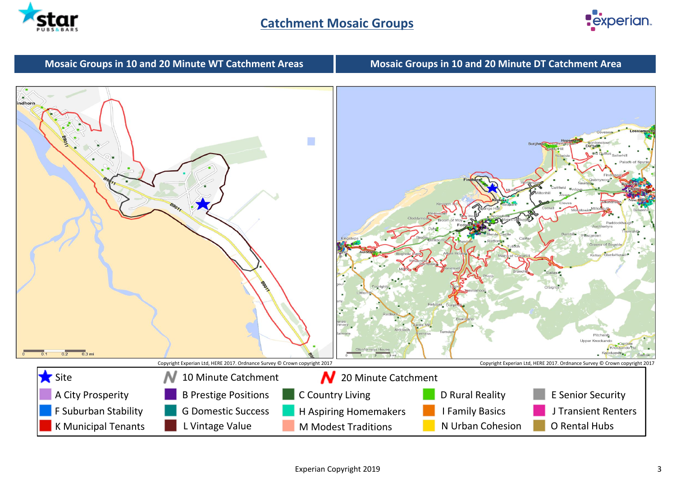



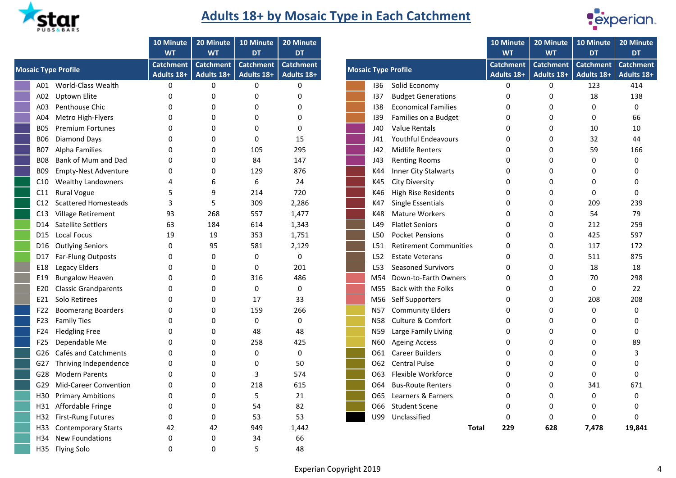

## **Adults 18+ by Mosaic Type in Each Catchment**



|                 |                              | 10 Minute<br><b>WT</b>         | 20 Minute<br><b>WT</b>         | 10 Minute<br><b>DT</b>         | 20 Minute<br><b>DT</b>         |
|-----------------|------------------------------|--------------------------------|--------------------------------|--------------------------------|--------------------------------|
|                 | <b>Mosaic Type Profile</b>   | <b>Catchment</b><br>Adults 18+ | <b>Catchment</b><br>Adults 18+ | <b>Catchment</b><br>Adults 18+ | <b>Catchment</b><br>Adults 18+ |
| A01             | World-Class Wealth           | 0                              | 0                              | 0                              | 0                              |
| A02             | <b>Uptown Elite</b>          | 0                              | 0                              | 0                              | 0                              |
| A03             | Penthouse Chic               | 0                              | 0                              | 0                              | 0                              |
| A04             | Metro High-Flyers            | 0                              | 0                              | 0                              | 0                              |
| <b>B05</b>      | <b>Premium Fortunes</b>      | 0                              | 0                              | 0                              | 0                              |
| <b>BO6</b>      | Diamond Days                 | 0                              | 0                              | 0                              | 15                             |
| <b>B07</b>      | <b>Alpha Families</b>        | 0                              | 0                              | 105                            | 295                            |
| <b>B08</b>      | Bank of Mum and Dad          | 0                              | 0                              | 84                             | 147                            |
| <b>B09</b>      | <b>Empty-Nest Adventure</b>  | 0                              | 0                              | 129                            | 876                            |
| C10             | <b>Wealthy Landowners</b>    | 4                              | 6                              | 6                              | 24                             |
| C11             | <b>Rural Vogue</b>           | 5                              | 9                              | 214                            | 720                            |
| C12             | <b>Scattered Homesteads</b>  | 3                              | 5                              | 309                            | 2,286                          |
| C13             | Village Retirement           | 93                             | 268                            | 557                            | 1,477                          |
| D14             | <b>Satellite Settlers</b>    | 63                             | 184                            | 614                            | 1,343                          |
| D <sub>15</sub> | Local Focus                  | 19                             | 19                             | 353                            | 1,751                          |
| D16             | <b>Outlying Seniors</b>      | 0                              | 95                             | 581                            | 2,129                          |
| D17             | Far-Flung Outposts           | 0                              | 0                              | 0                              | 0                              |
| E18             | Legacy Elders                | 0                              | 0                              | 0                              | 201                            |
| E19             | <b>Bungalow Heaven</b>       | 0                              | 0                              | 316                            | 486                            |
| E20             | <b>Classic Grandparents</b>  | 0                              | 0                              | 0                              | 0                              |
| E21             | Solo Retirees                | 0                              | 0                              | 17                             | 33                             |
| F22             | <b>Boomerang Boarders</b>    | 0                              | 0                              | 159                            | 266                            |
| F <sub>23</sub> | <b>Family Ties</b>           | 0                              | 0                              | 0                              | 0                              |
| F24             | <b>Fledgling Free</b>        | 0                              | 0                              | 48                             | 48                             |
| F <sub>25</sub> | Dependable Me                | 0                              | 0                              | 258                            | 425                            |
| G26             | Cafés and Catchments         | 0                              | 0                              | 0                              | 0                              |
| G27             | Thriving Independence        | 0                              | 0                              | 0                              | 50                             |
| G28             | <b>Modern Parents</b>        | 0                              | 0                              | 3                              | 574                            |
| G29             | <b>Mid-Career Convention</b> | 0                              | 0                              | 218                            | 615                            |
| H30             | <b>Primary Ambitions</b>     | 0                              | 0                              | 5                              | 21                             |
| H31             | Affordable Fringe            | 0                              | 0                              | 54                             | 82                             |
| H32             | <b>First-Rung Futures</b>    | $\Omega$                       | 0                              | 53                             | 53                             |
| H33             | <b>Contemporary Starts</b>   | 42                             | 42                             | 949                            | 1,442                          |
| H34             | <b>New Foundations</b>       | 0                              | 0                              | 34                             | 66                             |
| H35             | <b>Flying Solo</b>           | 0                              | 0                              | 5                              | 48                             |

| <b>Catchment</b><br><b>Catchment</b><br><b>Catchment</b><br><b>Catchment</b><br><b>Catchment</b><br><b>Catchment</b><br><b>Catchment</b><br>c Type Profile<br><b>Mosaic Type Profile</b><br>Adults 18+<br>Adults 18+<br>Adults 18+<br>Adults 18+<br>Adults 18+<br>Adults 18+<br>Adults 18+<br>$\pmb{0}$<br>$\mathbf 0$<br>$\mathbf 0$<br>$\mathbf 0$<br>$\mathbf{0}$<br>A01 World-Class Wealth<br>0<br>Solid Economy<br>123<br>136<br><b>Budget Generations</b><br>A02 Uptown Elite<br>0<br>18<br>0<br>0<br>0<br>137<br>0<br>0<br>Penthouse Chic<br><b>Economical Families</b><br>0<br>138<br>0<br>0<br>ŋ<br>0<br>ი<br>0<br>Metro High-Flyers<br>$\Omega$<br>139<br>Families on a Budget<br>0<br>O<br>0<br>O<br>0<br>0<br>Value Rentals<br><b>Premium Fortunes</b><br>0<br>J40<br>10<br>0<br>0<br>0<br>0<br>0<br>B05<br>Diamond Days<br>15<br><b>Youthful Endeavours</b><br>32<br>0<br>0<br>0<br>0<br>B06<br>J41<br>ი<br>295<br>59<br><b>Alpha Families</b><br>0<br>105<br><b>Midlife Renters</b><br>O<br>J42<br>0<br>B07<br>ი<br>Bank of Mum and Dad<br>84<br>147<br><b>Renting Rooms</b><br>$\Omega$<br>$\Omega$<br>J43<br>$\Omega$<br>0<br>B08<br>ი<br><b>Empty-Nest Adventure</b><br>129<br>876<br>Inner City Stalwarts<br>0<br>0<br>0<br>B09<br>K44<br>n<br>0<br><b>Wealthy Landowners</b><br>6<br>24<br><b>City Diversity</b><br>K45<br>0<br>0<br>C10<br>4<br>6<br>ი<br>9<br>214<br>720<br><b>High Rise Residents</b><br><b>Rural Vogue</b><br>5<br>K46<br>0<br>0<br>0<br>C11<br>309<br><b>Scattered Homesteads</b><br>3<br>5<br>2,286<br>Single Essentials<br>209<br>K47<br>0<br>C12<br>ი<br>93<br>268<br>1,477<br><b>Mature Workers</b><br>54<br>Village Retirement<br>557<br>K48<br>0<br>C13<br>ი<br>D14 Satellite Settlers<br>63<br>184<br><b>Flatlet Seniors</b><br>212<br>614<br>1,343<br>L49<br>0<br>0<br>425<br>Local Focus<br>19<br>19<br>353<br>1,751<br><b>Pocket Pensions</b><br>L50<br>0<br>ი<br>D15<br><b>Outlying Seniors</b><br>0<br>95<br>581<br>2,129<br><b>Retirement Communities</b><br>0<br>117<br>L51<br>0<br>D16 -<br>511<br>Far-Flung Outposts<br>0<br>0<br>0<br>$\Omega$<br><b>Estate Veterans</b><br>0<br>L52<br>O<br>D17<br>Legacy Elders<br>0<br>201<br><b>Seasoned Survivors</b><br>18<br>0<br>0<br>L53<br>0<br>E18<br>O<br>486<br>Down-to-Earth Owners<br><b>Bungalow Heaven</b><br>$\Omega$<br>316<br>70<br>0<br>M54<br>0<br>0<br>E19<br>0<br>Back with the Folks<br>0<br><b>Classic Grandparents</b><br>0<br>0<br>$\Omega$<br>0<br>E20<br>M55<br>O<br>Solo Retirees<br>0<br>17<br>33<br>Self Supporters<br>208<br>O<br>0<br>E21<br>M56<br>n<br><b>Boomerang Boarders</b><br>$\Omega$<br>159<br>266<br><b>Community Elders</b><br>0<br>0<br>N57<br>O<br>0<br>F22<br>0<br>$\Omega$<br><b>Culture &amp; Comfort</b><br><b>Family Ties</b><br>O<br>0<br>N58<br>0<br>F23<br>O<br>0<br><b>Fledgling Free</b><br>48<br>48<br>Large Family Living<br>O<br>0<br>N59<br>$\Omega$<br>0<br>F24<br>n<br>258<br>425<br>Dependable Me<br>$\Omega$<br>0<br>N60<br><b>Ageing Access</b><br>$\Omega$<br>F25.<br>ი<br>0<br>Cafés and Catchments<br><b>Career Builders</b><br>O<br>0<br>0<br>$\Omega$<br>061<br>$\Omega$<br>G26 I<br>በ<br>O<br><b>Central Pulse</b><br>G27 Thriving Independence<br>$\Omega$<br>0<br>0<br>50<br>$\Omega$<br>062<br>0<br>በ<br>574<br>Flexible Workforce<br>G28 Modern Parents<br>O<br>$\Omega$<br>3<br>$\Omega$<br>0<br>063<br>ი<br>G29 Mid-Career Convention<br>218<br>615<br><b>Bus-Route Renters</b><br>$\Omega$<br>341<br>O<br>0<br>064<br>ი<br>5<br>Learners & Earners<br>H30 Primary Ambitions<br>$\Omega$<br>0<br>21<br>O65<br>0<br>0<br>ი<br>$\Omega$<br>82<br><b>Student Scene</b><br>$\Omega$<br>H31 Affordable Fringe<br>O<br>54<br>066<br>0<br>U<br>U99<br>Unclassified<br>H32 First-Rung Futures<br>$\Omega$<br>0<br>53<br>53<br>0<br>0<br>0<br>42<br>42<br>949<br>1,442<br>229<br>628<br>7,478<br>H33 Contemporary Starts<br>Total |     | 10 Minute<br><b>WT</b> | 20 Minute<br><b>WT</b> | 10 Minute<br><b>DT</b> | 20 Minute<br><b>DT</b> |  | 10 Minute<br><b>WT</b> | 20 Minute<br><b>WT</b> | 10 Minute<br><b>DT</b> | 20 Minute                      |  |
|---------------------------------------------------------------------------------------------------------------------------------------------------------------------------------------------------------------------------------------------------------------------------------------------------------------------------------------------------------------------------------------------------------------------------------------------------------------------------------------------------------------------------------------------------------------------------------------------------------------------------------------------------------------------------------------------------------------------------------------------------------------------------------------------------------------------------------------------------------------------------------------------------------------------------------------------------------------------------------------------------------------------------------------------------------------------------------------------------------------------------------------------------------------------------------------------------------------------------------------------------------------------------------------------------------------------------------------------------------------------------------------------------------------------------------------------------------------------------------------------------------------------------------------------------------------------------------------------------------------------------------------------------------------------------------------------------------------------------------------------------------------------------------------------------------------------------------------------------------------------------------------------------------------------------------------------------------------------------------------------------------------------------------------------------------------------------------------------------------------------------------------------------------------------------------------------------------------------------------------------------------------------------------------------------------------------------------------------------------------------------------------------------------------------------------------------------------------------------------------------------------------------------------------------------------------------------------------------------------------------------------------------------------------------------------------------------------------------------------------------------------------------------------------------------------------------------------------------------------------------------------------------------------------------------------------------------------------------------------------------------------------------------------------------------------------------------------------------------------------------------------------------------------------------------------------------------------------------------------------------------------------------------------------------------------------------------------------------------------------------------------------------------------------------------------------------------------------------------------------------------------------------------------------------------------------------------------------------------------------------------------------------------------------------------------------------------------------------------------------------------------------------------------------------------------------------------------------------------------------------------------------------------|-----|------------------------|------------------------|------------------------|------------------------|--|------------------------|------------------------|------------------------|--------------------------------|--|
|                                                                                                                                                                                                                                                                                                                                                                                                                                                                                                                                                                                                                                                                                                                                                                                                                                                                                                                                                                                                                                                                                                                                                                                                                                                                                                                                                                                                                                                                                                                                                                                                                                                                                                                                                                                                                                                                                                                                                                                                                                                                                                                                                                                                                                                                                                                                                                                                                                                                                                                                                                                                                                                                                                                                                                                                                                                                                                                                                                                                                                                                                                                                                                                                                                                                                                                                                                                                                                                                                                                                                                                                                                                                                                                                                                                                                                                                                                   |     |                        |                        |                        |                        |  |                        |                        |                        |                                |  |
|                                                                                                                                                                                                                                                                                                                                                                                                                                                                                                                                                                                                                                                                                                                                                                                                                                                                                                                                                                                                                                                                                                                                                                                                                                                                                                                                                                                                                                                                                                                                                                                                                                                                                                                                                                                                                                                                                                                                                                                                                                                                                                                                                                                                                                                                                                                                                                                                                                                                                                                                                                                                                                                                                                                                                                                                                                                                                                                                                                                                                                                                                                                                                                                                                                                                                                                                                                                                                                                                                                                                                                                                                                                                                                                                                                                                                                                                                                   |     |                        |                        |                        |                        |  |                        |                        |                        | <b>Catchment</b><br>Adults 18+ |  |
|                                                                                                                                                                                                                                                                                                                                                                                                                                                                                                                                                                                                                                                                                                                                                                                                                                                                                                                                                                                                                                                                                                                                                                                                                                                                                                                                                                                                                                                                                                                                                                                                                                                                                                                                                                                                                                                                                                                                                                                                                                                                                                                                                                                                                                                                                                                                                                                                                                                                                                                                                                                                                                                                                                                                                                                                                                                                                                                                                                                                                                                                                                                                                                                                                                                                                                                                                                                                                                                                                                                                                                                                                                                                                                                                                                                                                                                                                                   |     |                        |                        |                        |                        |  |                        |                        |                        |                                |  |
|                                                                                                                                                                                                                                                                                                                                                                                                                                                                                                                                                                                                                                                                                                                                                                                                                                                                                                                                                                                                                                                                                                                                                                                                                                                                                                                                                                                                                                                                                                                                                                                                                                                                                                                                                                                                                                                                                                                                                                                                                                                                                                                                                                                                                                                                                                                                                                                                                                                                                                                                                                                                                                                                                                                                                                                                                                                                                                                                                                                                                                                                                                                                                                                                                                                                                                                                                                                                                                                                                                                                                                                                                                                                                                                                                                                                                                                                                                   |     |                        |                        |                        |                        |  |                        |                        |                        |                                |  |
|                                                                                                                                                                                                                                                                                                                                                                                                                                                                                                                                                                                                                                                                                                                                                                                                                                                                                                                                                                                                                                                                                                                                                                                                                                                                                                                                                                                                                                                                                                                                                                                                                                                                                                                                                                                                                                                                                                                                                                                                                                                                                                                                                                                                                                                                                                                                                                                                                                                                                                                                                                                                                                                                                                                                                                                                                                                                                                                                                                                                                                                                                                                                                                                                                                                                                                                                                                                                                                                                                                                                                                                                                                                                                                                                                                                                                                                                                                   | A03 |                        |                        |                        |                        |  |                        |                        |                        |                                |  |
|                                                                                                                                                                                                                                                                                                                                                                                                                                                                                                                                                                                                                                                                                                                                                                                                                                                                                                                                                                                                                                                                                                                                                                                                                                                                                                                                                                                                                                                                                                                                                                                                                                                                                                                                                                                                                                                                                                                                                                                                                                                                                                                                                                                                                                                                                                                                                                                                                                                                                                                                                                                                                                                                                                                                                                                                                                                                                                                                                                                                                                                                                                                                                                                                                                                                                                                                                                                                                                                                                                                                                                                                                                                                                                                                                                                                                                                                                                   | A04 |                        |                        |                        |                        |  |                        |                        |                        |                                |  |
|                                                                                                                                                                                                                                                                                                                                                                                                                                                                                                                                                                                                                                                                                                                                                                                                                                                                                                                                                                                                                                                                                                                                                                                                                                                                                                                                                                                                                                                                                                                                                                                                                                                                                                                                                                                                                                                                                                                                                                                                                                                                                                                                                                                                                                                                                                                                                                                                                                                                                                                                                                                                                                                                                                                                                                                                                                                                                                                                                                                                                                                                                                                                                                                                                                                                                                                                                                                                                                                                                                                                                                                                                                                                                                                                                                                                                                                                                                   |     |                        |                        |                        |                        |  |                        |                        |                        |                                |  |
|                                                                                                                                                                                                                                                                                                                                                                                                                                                                                                                                                                                                                                                                                                                                                                                                                                                                                                                                                                                                                                                                                                                                                                                                                                                                                                                                                                                                                                                                                                                                                                                                                                                                                                                                                                                                                                                                                                                                                                                                                                                                                                                                                                                                                                                                                                                                                                                                                                                                                                                                                                                                                                                                                                                                                                                                                                                                                                                                                                                                                                                                                                                                                                                                                                                                                                                                                                                                                                                                                                                                                                                                                                                                                                                                                                                                                                                                                                   |     |                        |                        |                        |                        |  |                        |                        |                        |                                |  |
|                                                                                                                                                                                                                                                                                                                                                                                                                                                                                                                                                                                                                                                                                                                                                                                                                                                                                                                                                                                                                                                                                                                                                                                                                                                                                                                                                                                                                                                                                                                                                                                                                                                                                                                                                                                                                                                                                                                                                                                                                                                                                                                                                                                                                                                                                                                                                                                                                                                                                                                                                                                                                                                                                                                                                                                                                                                                                                                                                                                                                                                                                                                                                                                                                                                                                                                                                                                                                                                                                                                                                                                                                                                                                                                                                                                                                                                                                                   |     |                        |                        |                        |                        |  |                        |                        |                        |                                |  |
|                                                                                                                                                                                                                                                                                                                                                                                                                                                                                                                                                                                                                                                                                                                                                                                                                                                                                                                                                                                                                                                                                                                                                                                                                                                                                                                                                                                                                                                                                                                                                                                                                                                                                                                                                                                                                                                                                                                                                                                                                                                                                                                                                                                                                                                                                                                                                                                                                                                                                                                                                                                                                                                                                                                                                                                                                                                                                                                                                                                                                                                                                                                                                                                                                                                                                                                                                                                                                                                                                                                                                                                                                                                                                                                                                                                                                                                                                                   |     |                        |                        |                        |                        |  |                        |                        |                        |                                |  |
|                                                                                                                                                                                                                                                                                                                                                                                                                                                                                                                                                                                                                                                                                                                                                                                                                                                                                                                                                                                                                                                                                                                                                                                                                                                                                                                                                                                                                                                                                                                                                                                                                                                                                                                                                                                                                                                                                                                                                                                                                                                                                                                                                                                                                                                                                                                                                                                                                                                                                                                                                                                                                                                                                                                                                                                                                                                                                                                                                                                                                                                                                                                                                                                                                                                                                                                                                                                                                                                                                                                                                                                                                                                                                                                                                                                                                                                                                                   |     |                        |                        |                        |                        |  |                        |                        |                        |                                |  |
|                                                                                                                                                                                                                                                                                                                                                                                                                                                                                                                                                                                                                                                                                                                                                                                                                                                                                                                                                                                                                                                                                                                                                                                                                                                                                                                                                                                                                                                                                                                                                                                                                                                                                                                                                                                                                                                                                                                                                                                                                                                                                                                                                                                                                                                                                                                                                                                                                                                                                                                                                                                                                                                                                                                                                                                                                                                                                                                                                                                                                                                                                                                                                                                                                                                                                                                                                                                                                                                                                                                                                                                                                                                                                                                                                                                                                                                                                                   |     |                        |                        |                        |                        |  |                        |                        |                        |                                |  |
|                                                                                                                                                                                                                                                                                                                                                                                                                                                                                                                                                                                                                                                                                                                                                                                                                                                                                                                                                                                                                                                                                                                                                                                                                                                                                                                                                                                                                                                                                                                                                                                                                                                                                                                                                                                                                                                                                                                                                                                                                                                                                                                                                                                                                                                                                                                                                                                                                                                                                                                                                                                                                                                                                                                                                                                                                                                                                                                                                                                                                                                                                                                                                                                                                                                                                                                                                                                                                                                                                                                                                                                                                                                                                                                                                                                                                                                                                                   |     |                        |                        |                        |                        |  |                        |                        |                        |                                |  |
|                                                                                                                                                                                                                                                                                                                                                                                                                                                                                                                                                                                                                                                                                                                                                                                                                                                                                                                                                                                                                                                                                                                                                                                                                                                                                                                                                                                                                                                                                                                                                                                                                                                                                                                                                                                                                                                                                                                                                                                                                                                                                                                                                                                                                                                                                                                                                                                                                                                                                                                                                                                                                                                                                                                                                                                                                                                                                                                                                                                                                                                                                                                                                                                                                                                                                                                                                                                                                                                                                                                                                                                                                                                                                                                                                                                                                                                                                                   |     |                        |                        |                        |                        |  |                        |                        |                        |                                |  |
|                                                                                                                                                                                                                                                                                                                                                                                                                                                                                                                                                                                                                                                                                                                                                                                                                                                                                                                                                                                                                                                                                                                                                                                                                                                                                                                                                                                                                                                                                                                                                                                                                                                                                                                                                                                                                                                                                                                                                                                                                                                                                                                                                                                                                                                                                                                                                                                                                                                                                                                                                                                                                                                                                                                                                                                                                                                                                                                                                                                                                                                                                                                                                                                                                                                                                                                                                                                                                                                                                                                                                                                                                                                                                                                                                                                                                                                                                                   |     |                        |                        |                        |                        |  |                        |                        |                        |                                |  |
|                                                                                                                                                                                                                                                                                                                                                                                                                                                                                                                                                                                                                                                                                                                                                                                                                                                                                                                                                                                                                                                                                                                                                                                                                                                                                                                                                                                                                                                                                                                                                                                                                                                                                                                                                                                                                                                                                                                                                                                                                                                                                                                                                                                                                                                                                                                                                                                                                                                                                                                                                                                                                                                                                                                                                                                                                                                                                                                                                                                                                                                                                                                                                                                                                                                                                                                                                                                                                                                                                                                                                                                                                                                                                                                                                                                                                                                                                                   |     |                        |                        |                        |                        |  |                        |                        |                        |                                |  |
|                                                                                                                                                                                                                                                                                                                                                                                                                                                                                                                                                                                                                                                                                                                                                                                                                                                                                                                                                                                                                                                                                                                                                                                                                                                                                                                                                                                                                                                                                                                                                                                                                                                                                                                                                                                                                                                                                                                                                                                                                                                                                                                                                                                                                                                                                                                                                                                                                                                                                                                                                                                                                                                                                                                                                                                                                                                                                                                                                                                                                                                                                                                                                                                                                                                                                                                                                                                                                                                                                                                                                                                                                                                                                                                                                                                                                                                                                                   |     |                        |                        |                        |                        |  |                        |                        |                        |                                |  |
|                                                                                                                                                                                                                                                                                                                                                                                                                                                                                                                                                                                                                                                                                                                                                                                                                                                                                                                                                                                                                                                                                                                                                                                                                                                                                                                                                                                                                                                                                                                                                                                                                                                                                                                                                                                                                                                                                                                                                                                                                                                                                                                                                                                                                                                                                                                                                                                                                                                                                                                                                                                                                                                                                                                                                                                                                                                                                                                                                                                                                                                                                                                                                                                                                                                                                                                                                                                                                                                                                                                                                                                                                                                                                                                                                                                                                                                                                                   |     |                        |                        |                        |                        |  |                        |                        |                        |                                |  |
|                                                                                                                                                                                                                                                                                                                                                                                                                                                                                                                                                                                                                                                                                                                                                                                                                                                                                                                                                                                                                                                                                                                                                                                                                                                                                                                                                                                                                                                                                                                                                                                                                                                                                                                                                                                                                                                                                                                                                                                                                                                                                                                                                                                                                                                                                                                                                                                                                                                                                                                                                                                                                                                                                                                                                                                                                                                                                                                                                                                                                                                                                                                                                                                                                                                                                                                                                                                                                                                                                                                                                                                                                                                                                                                                                                                                                                                                                                   |     |                        |                        |                        |                        |  |                        |                        |                        |                                |  |
|                                                                                                                                                                                                                                                                                                                                                                                                                                                                                                                                                                                                                                                                                                                                                                                                                                                                                                                                                                                                                                                                                                                                                                                                                                                                                                                                                                                                                                                                                                                                                                                                                                                                                                                                                                                                                                                                                                                                                                                                                                                                                                                                                                                                                                                                                                                                                                                                                                                                                                                                                                                                                                                                                                                                                                                                                                                                                                                                                                                                                                                                                                                                                                                                                                                                                                                                                                                                                                                                                                                                                                                                                                                                                                                                                                                                                                                                                                   |     |                        |                        |                        |                        |  |                        |                        |                        |                                |  |
|                                                                                                                                                                                                                                                                                                                                                                                                                                                                                                                                                                                                                                                                                                                                                                                                                                                                                                                                                                                                                                                                                                                                                                                                                                                                                                                                                                                                                                                                                                                                                                                                                                                                                                                                                                                                                                                                                                                                                                                                                                                                                                                                                                                                                                                                                                                                                                                                                                                                                                                                                                                                                                                                                                                                                                                                                                                                                                                                                                                                                                                                                                                                                                                                                                                                                                                                                                                                                                                                                                                                                                                                                                                                                                                                                                                                                                                                                                   |     |                        |                        |                        |                        |  |                        |                        |                        |                                |  |
|                                                                                                                                                                                                                                                                                                                                                                                                                                                                                                                                                                                                                                                                                                                                                                                                                                                                                                                                                                                                                                                                                                                                                                                                                                                                                                                                                                                                                                                                                                                                                                                                                                                                                                                                                                                                                                                                                                                                                                                                                                                                                                                                                                                                                                                                                                                                                                                                                                                                                                                                                                                                                                                                                                                                                                                                                                                                                                                                                                                                                                                                                                                                                                                                                                                                                                                                                                                                                                                                                                                                                                                                                                                                                                                                                                                                                                                                                                   |     |                        |                        |                        |                        |  |                        |                        |                        |                                |  |
|                                                                                                                                                                                                                                                                                                                                                                                                                                                                                                                                                                                                                                                                                                                                                                                                                                                                                                                                                                                                                                                                                                                                                                                                                                                                                                                                                                                                                                                                                                                                                                                                                                                                                                                                                                                                                                                                                                                                                                                                                                                                                                                                                                                                                                                                                                                                                                                                                                                                                                                                                                                                                                                                                                                                                                                                                                                                                                                                                                                                                                                                                                                                                                                                                                                                                                                                                                                                                                                                                                                                                                                                                                                                                                                                                                                                                                                                                                   |     |                        |                        |                        |                        |  |                        |                        |                        |                                |  |
|                                                                                                                                                                                                                                                                                                                                                                                                                                                                                                                                                                                                                                                                                                                                                                                                                                                                                                                                                                                                                                                                                                                                                                                                                                                                                                                                                                                                                                                                                                                                                                                                                                                                                                                                                                                                                                                                                                                                                                                                                                                                                                                                                                                                                                                                                                                                                                                                                                                                                                                                                                                                                                                                                                                                                                                                                                                                                                                                                                                                                                                                                                                                                                                                                                                                                                                                                                                                                                                                                                                                                                                                                                                                                                                                                                                                                                                                                                   |     |                        |                        |                        |                        |  |                        |                        |                        |                                |  |
|                                                                                                                                                                                                                                                                                                                                                                                                                                                                                                                                                                                                                                                                                                                                                                                                                                                                                                                                                                                                                                                                                                                                                                                                                                                                                                                                                                                                                                                                                                                                                                                                                                                                                                                                                                                                                                                                                                                                                                                                                                                                                                                                                                                                                                                                                                                                                                                                                                                                                                                                                                                                                                                                                                                                                                                                                                                                                                                                                                                                                                                                                                                                                                                                                                                                                                                                                                                                                                                                                                                                                                                                                                                                                                                                                                                                                                                                                                   |     |                        |                        |                        |                        |  |                        |                        |                        |                                |  |
|                                                                                                                                                                                                                                                                                                                                                                                                                                                                                                                                                                                                                                                                                                                                                                                                                                                                                                                                                                                                                                                                                                                                                                                                                                                                                                                                                                                                                                                                                                                                                                                                                                                                                                                                                                                                                                                                                                                                                                                                                                                                                                                                                                                                                                                                                                                                                                                                                                                                                                                                                                                                                                                                                                                                                                                                                                                                                                                                                                                                                                                                                                                                                                                                                                                                                                                                                                                                                                                                                                                                                                                                                                                                                                                                                                                                                                                                                                   |     |                        |                        |                        |                        |  |                        |                        |                        |                                |  |
|                                                                                                                                                                                                                                                                                                                                                                                                                                                                                                                                                                                                                                                                                                                                                                                                                                                                                                                                                                                                                                                                                                                                                                                                                                                                                                                                                                                                                                                                                                                                                                                                                                                                                                                                                                                                                                                                                                                                                                                                                                                                                                                                                                                                                                                                                                                                                                                                                                                                                                                                                                                                                                                                                                                                                                                                                                                                                                                                                                                                                                                                                                                                                                                                                                                                                                                                                                                                                                                                                                                                                                                                                                                                                                                                                                                                                                                                                                   |     |                        |                        |                        |                        |  |                        |                        |                        |                                |  |
|                                                                                                                                                                                                                                                                                                                                                                                                                                                                                                                                                                                                                                                                                                                                                                                                                                                                                                                                                                                                                                                                                                                                                                                                                                                                                                                                                                                                                                                                                                                                                                                                                                                                                                                                                                                                                                                                                                                                                                                                                                                                                                                                                                                                                                                                                                                                                                                                                                                                                                                                                                                                                                                                                                                                                                                                                                                                                                                                                                                                                                                                                                                                                                                                                                                                                                                                                                                                                                                                                                                                                                                                                                                                                                                                                                                                                                                                                                   |     |                        |                        |                        |                        |  |                        |                        |                        |                                |  |
|                                                                                                                                                                                                                                                                                                                                                                                                                                                                                                                                                                                                                                                                                                                                                                                                                                                                                                                                                                                                                                                                                                                                                                                                                                                                                                                                                                                                                                                                                                                                                                                                                                                                                                                                                                                                                                                                                                                                                                                                                                                                                                                                                                                                                                                                                                                                                                                                                                                                                                                                                                                                                                                                                                                                                                                                                                                                                                                                                                                                                                                                                                                                                                                                                                                                                                                                                                                                                                                                                                                                                                                                                                                                                                                                                                                                                                                                                                   |     |                        |                        |                        |                        |  |                        |                        |                        |                                |  |
|                                                                                                                                                                                                                                                                                                                                                                                                                                                                                                                                                                                                                                                                                                                                                                                                                                                                                                                                                                                                                                                                                                                                                                                                                                                                                                                                                                                                                                                                                                                                                                                                                                                                                                                                                                                                                                                                                                                                                                                                                                                                                                                                                                                                                                                                                                                                                                                                                                                                                                                                                                                                                                                                                                                                                                                                                                                                                                                                                                                                                                                                                                                                                                                                                                                                                                                                                                                                                                                                                                                                                                                                                                                                                                                                                                                                                                                                                                   |     |                        |                        |                        |                        |  |                        |                        |                        |                                |  |
|                                                                                                                                                                                                                                                                                                                                                                                                                                                                                                                                                                                                                                                                                                                                                                                                                                                                                                                                                                                                                                                                                                                                                                                                                                                                                                                                                                                                                                                                                                                                                                                                                                                                                                                                                                                                                                                                                                                                                                                                                                                                                                                                                                                                                                                                                                                                                                                                                                                                                                                                                                                                                                                                                                                                                                                                                                                                                                                                                                                                                                                                                                                                                                                                                                                                                                                                                                                                                                                                                                                                                                                                                                                                                                                                                                                                                                                                                                   |     |                        |                        |                        |                        |  |                        |                        |                        |                                |  |
|                                                                                                                                                                                                                                                                                                                                                                                                                                                                                                                                                                                                                                                                                                                                                                                                                                                                                                                                                                                                                                                                                                                                                                                                                                                                                                                                                                                                                                                                                                                                                                                                                                                                                                                                                                                                                                                                                                                                                                                                                                                                                                                                                                                                                                                                                                                                                                                                                                                                                                                                                                                                                                                                                                                                                                                                                                                                                                                                                                                                                                                                                                                                                                                                                                                                                                                                                                                                                                                                                                                                                                                                                                                                                                                                                                                                                                                                                                   |     |                        |                        |                        |                        |  |                        |                        |                        |                                |  |
|                                                                                                                                                                                                                                                                                                                                                                                                                                                                                                                                                                                                                                                                                                                                                                                                                                                                                                                                                                                                                                                                                                                                                                                                                                                                                                                                                                                                                                                                                                                                                                                                                                                                                                                                                                                                                                                                                                                                                                                                                                                                                                                                                                                                                                                                                                                                                                                                                                                                                                                                                                                                                                                                                                                                                                                                                                                                                                                                                                                                                                                                                                                                                                                                                                                                                                                                                                                                                                                                                                                                                                                                                                                                                                                                                                                                                                                                                                   |     |                        |                        |                        |                        |  |                        |                        |                        |                                |  |
|                                                                                                                                                                                                                                                                                                                                                                                                                                                                                                                                                                                                                                                                                                                                                                                                                                                                                                                                                                                                                                                                                                                                                                                                                                                                                                                                                                                                                                                                                                                                                                                                                                                                                                                                                                                                                                                                                                                                                                                                                                                                                                                                                                                                                                                                                                                                                                                                                                                                                                                                                                                                                                                                                                                                                                                                                                                                                                                                                                                                                                                                                                                                                                                                                                                                                                                                                                                                                                                                                                                                                                                                                                                                                                                                                                                                                                                                                                   |     |                        |                        |                        |                        |  |                        |                        |                        |                                |  |
|                                                                                                                                                                                                                                                                                                                                                                                                                                                                                                                                                                                                                                                                                                                                                                                                                                                                                                                                                                                                                                                                                                                                                                                                                                                                                                                                                                                                                                                                                                                                                                                                                                                                                                                                                                                                                                                                                                                                                                                                                                                                                                                                                                                                                                                                                                                                                                                                                                                                                                                                                                                                                                                                                                                                                                                                                                                                                                                                                                                                                                                                                                                                                                                                                                                                                                                                                                                                                                                                                                                                                                                                                                                                                                                                                                                                                                                                                                   |     |                        |                        |                        |                        |  |                        |                        |                        |                                |  |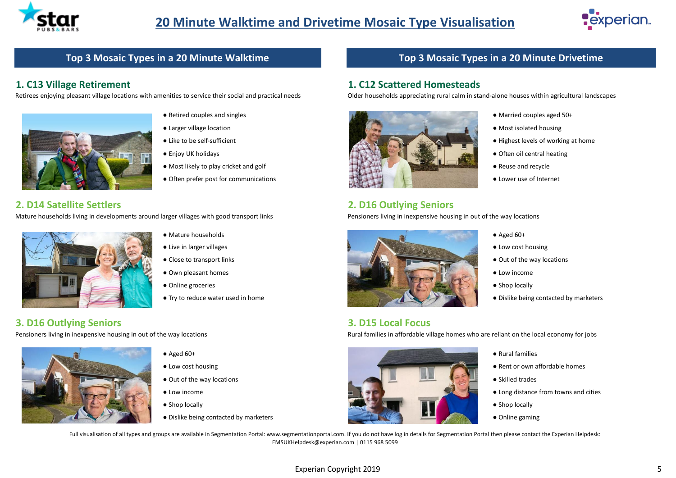



### **Top 3 Mosaic Types in a 20 Minute Walktime**

#### **1. C13 Village Retirement**

Retirees enjoying pleasant village locations with amenities to service their social and practical needs



- Retired couples and singles
- Larger village location
- Like to be self-sufficient
- Enjoy UK holidays
- Most likely to play cricket and golf
- Often prefer post for communications

#### **2. D14 Satellite Settlers**

Mature households living in developments around larger villages with good transport links



**3. D16 Outlying Seniors**

Pensioners living in inexpensive housing in out of the way locations



- $\bullet$  Aged 60+
- Low cost housing

● Own pleasant homes ● Online groceries

● Close to transport links

● Mature households ● Live in larger villages

- Out of the way locations
- Low income
- Shop locally
- Dislike being contacted by marketers

### **Top 3 Mosaic Types in a 20 Minute Drivetime**

#### **1. C12 Scattered Homesteads**

Older households appreciating rural calm in stand-alone houses within agricultural landscapes



- Married couples aged 50+
- Most isolated housing
- Highest levels of working at home
- Often oil central heating
- Reuse and recycle
- Lower use of Internet

#### **2. D16 Outlying Seniors**

Pensioners living in inexpensive housing in out of the way locations



- $\bullet$  Aged 60+
- Low cost housing
- Out of the way locations
- Low income
- Shop locally
- 

**3. D15 Local Focus**

Rural families in affordable village homes who are reliant on the local economy for jobs



- Rural families
- Rent or own affordable homes
- Skilled trades
- Long distance from towns and cities
- Shop locally
- Online gaming

Full visualisation of all types and groups are available in Segmentation Portal: www.segmentationportal.com. If you do not have log in details for Segmentation Portal then please contact the Experian Helpdesk: EMSUKHelpdesk@experian.com | 0115 968 5099

#### Experian Copyright 2019 **5**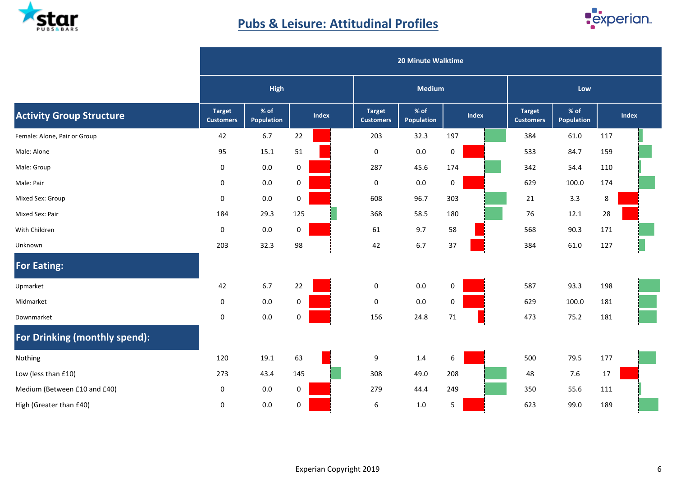

# **Pubs & Leisure: Attitudinal Profiles**



|                                 | 20 Minute Walktime                |                    |     |       |                                   |                           |                  |       |                                   |                    |     |              |  |  |
|---------------------------------|-----------------------------------|--------------------|-----|-------|-----------------------------------|---------------------------|------------------|-------|-----------------------------------|--------------------|-----|--------------|--|--|
|                                 |                                   | <b>High</b>        |     |       |                                   | <b>Medium</b>             |                  |       |                                   | Low                |     |              |  |  |
| <b>Activity Group Structure</b> | <b>Target</b><br><b>Customers</b> | % of<br>Population |     | Index | <b>Target</b><br><b>Customers</b> | % of<br><b>Population</b> |                  | Index | <b>Target</b><br><b>Customers</b> | % of<br>Population |     | <b>Index</b> |  |  |
| Female: Alone, Pair or Group    | 42                                | 6.7                | 22  |       | 203                               | 32.3                      | 197              |       | 384                               | 61.0               | 117 |              |  |  |
| Male: Alone                     | 95                                | 15.1               | 51  |       | $\pmb{0}$                         | $0.0\,$                   | $\boldsymbol{0}$ |       | 533                               | 84.7               | 159 |              |  |  |
| Male: Group                     | 0                                 | 0.0                | 0   |       | 287                               | 45.6                      | 174              |       | 342                               | 54.4               | 110 |              |  |  |
| Male: Pair                      | $\mathbf 0$                       | $0.0\,$            | 0   |       | 0                                 | $0.0\,$                   | 0                |       | 629                               | 100.0              | 174 |              |  |  |
| Mixed Sex: Group                | $\pmb{0}$                         | 0.0                | 0   |       | 608                               | 96.7                      | 303              |       | 21                                | 3.3                | 8   |              |  |  |
| Mixed Sex: Pair                 | 184                               | 29.3               | 125 |       | 368                               | 58.5                      | 180              |       | 76                                | 12.1               | 28  |              |  |  |
| With Children                   | $\pmb{0}$                         | 0.0                | 0   |       | 61                                | 9.7                       | 58               |       | 568                               | 90.3               | 171 |              |  |  |
| Unknown                         | 203                               | 32.3               | 98  |       | 42                                | $6.7\,$                   | 37               |       | 384                               | 61.0               | 127 |              |  |  |
| <b>For Eating:</b>              |                                   |                    |     |       |                                   |                           |                  |       |                                   |                    |     |              |  |  |
| Upmarket                        | 42                                | 6.7                | 22  |       | $\pmb{0}$                         | 0.0                       | 0                |       | 587                               | 93.3               | 198 |              |  |  |
| Midmarket                       | 0                                 | 0.0                | 0   |       | 0                                 | 0.0                       | 0                |       | 629                               | 100.0              | 181 |              |  |  |
| Downmarket                      | $\mathbf 0$                       | $0.0\,$            | 0   |       | 156                               | 24.8                      | 71               |       | 473                               | 75.2               | 181 |              |  |  |
| For Drinking (monthly spend):   |                                   |                    |     |       |                                   |                           |                  |       |                                   |                    |     |              |  |  |
| Nothing                         | 120                               | 19.1               | 63  |       | 9                                 | 1.4                       | 6                |       | 500                               | 79.5               | 177 |              |  |  |
| Low (less than £10)             | 273                               | 43.4               | 145 |       | 308                               | 49.0                      | 208              |       | 48                                | 7.6                | 17  |              |  |  |
| Medium (Between £10 and £40)    | 0                                 | 0.0                | 0   |       | 279                               | 44.4                      | 249              |       | 350                               | 55.6               | 111 |              |  |  |
| High (Greater than £40)         | 0                                 | 0.0                | 0   |       | 6                                 | $1.0\,$                   | 5                |       | 623                               | 99.0               | 189 |              |  |  |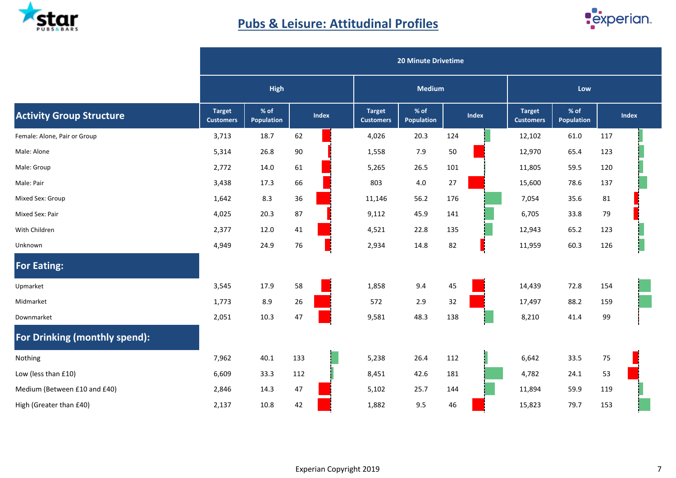

# **Pubs & Leisure: Attitudinal Profiles**



|                                 |                                   | <b>20 Minute Drivetime</b>  |     |       |                                   |                    |     |       |                                   |                           |     |       |  |  |
|---------------------------------|-----------------------------------|-----------------------------|-----|-------|-----------------------------------|--------------------|-----|-------|-----------------------------------|---------------------------|-----|-------|--|--|
|                                 |                                   | <b>High</b>                 |     |       | <b>Medium</b>                     |                    |     |       | Low                               |                           |     |       |  |  |
| <b>Activity Group Structure</b> | <b>Target</b><br><b>Customers</b> | $%$ of<br><b>Population</b> |     | Index | <b>Target</b><br><b>Customers</b> | % of<br>Population |     | Index | <b>Target</b><br><b>Customers</b> | % of<br><b>Population</b> |     | Index |  |  |
| Female: Alone, Pair or Group    | 3,713                             | 18.7                        | 62  |       | 4,026                             | 20.3               | 124 |       | 12,102                            | 61.0                      | 117 |       |  |  |
| Male: Alone                     | 5,314                             | 26.8                        | 90  |       | 1,558                             | 7.9                | 50  |       | 12,970                            | 65.4                      | 123 |       |  |  |
| Male: Group                     | 2,772                             | 14.0                        | 61  |       | 5,265                             | 26.5               | 101 |       | 11,805                            | 59.5                      | 120 |       |  |  |
| Male: Pair                      | 3,438                             | 17.3                        | 66  |       | 803                               | 4.0                | 27  |       | 15,600                            | 78.6                      | 137 |       |  |  |
| Mixed Sex: Group                | 1,642                             | 8.3                         | 36  |       | 11,146                            | 56.2               | 176 |       | 7,054                             | 35.6                      | 81  |       |  |  |
| Mixed Sex: Pair                 | 4,025                             | 20.3                        | 87  |       | 9,112                             | 45.9               | 141 |       | 6,705                             | 33.8                      | 79  |       |  |  |
| With Children                   | 2,377                             | 12.0                        | 41  |       | 4,521                             | 22.8               | 135 |       | 12,943                            | 65.2                      | 123 |       |  |  |
| Unknown                         | 4,949                             | 24.9                        | 76  |       | 2,934                             | 14.8               | 82  |       | 11,959                            | 60.3                      | 126 |       |  |  |
| <b>For Eating:</b>              |                                   |                             |     |       |                                   |                    |     |       |                                   |                           |     |       |  |  |
| Upmarket                        | 3,545                             | 17.9                        | 58  |       | 1,858                             | 9.4                | 45  |       | 14,439                            | 72.8                      | 154 |       |  |  |
| Midmarket                       | 1,773                             | 8.9                         | 26  |       | 572                               | 2.9                | 32  |       | 17,497                            | 88.2                      | 159 |       |  |  |
| Downmarket                      | 2,051                             | 10.3                        | 47  |       | 9,581                             | 48.3               | 138 |       | 8,210                             | 41.4                      | 99  |       |  |  |
| For Drinking (monthly spend):   |                                   |                             |     |       |                                   |                    |     |       |                                   |                           |     |       |  |  |
| Nothing                         | 7,962                             | 40.1                        | 133 |       | 5,238                             | 26.4               | 112 |       | 6,642                             | 33.5                      | 75  |       |  |  |
| Low (less than £10)             | 6,609                             | 33.3                        | 112 |       | 8,451                             | 42.6               | 181 |       | 4,782                             | 24.1                      | 53  |       |  |  |
| Medium (Between £10 and £40)    | 2,846                             | 14.3                        | 47  |       | 5,102                             | 25.7               | 144 |       | 11,894                            | 59.9                      | 119 |       |  |  |
| High (Greater than £40)         | 2,137                             | 10.8                        | 42  |       | 1,882                             | 9.5                | 46  |       | 15,823                            | 79.7                      | 153 |       |  |  |